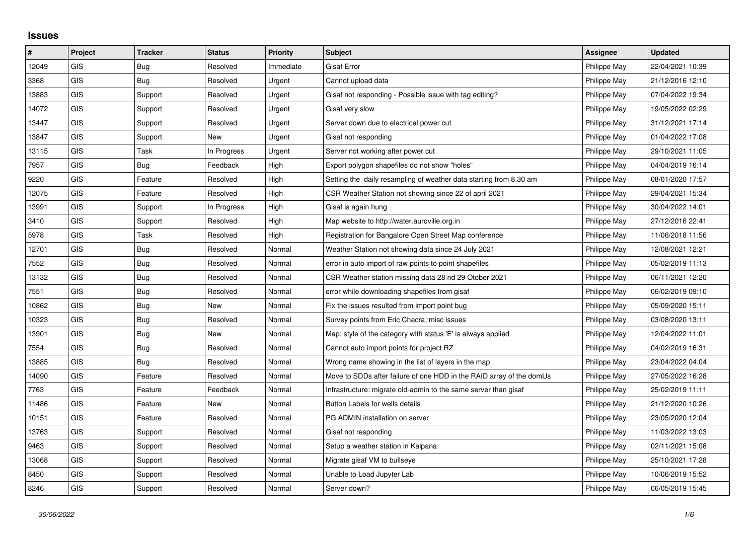## **Issues**

| $\vert$ # | Project    | <b>Tracker</b> | <b>Status</b> | <b>Priority</b> | <b>Subject</b>                                                       | Assignee     | <b>Updated</b>   |
|-----------|------------|----------------|---------------|-----------------|----------------------------------------------------------------------|--------------|------------------|
| 12049     | GIS        | <b>Bug</b>     | Resolved      | Immediate       | <b>Gisaf Error</b>                                                   | Philippe May | 22/04/2021 10:39 |
| 3368      | GIS        | Bug            | Resolved      | Urgent          | Cannot upload data                                                   | Philippe May | 21/12/2016 12:10 |
| 13883     | <b>GIS</b> | Support        | Resolved      | Urgent          | Gisaf not responding - Possible issue with tag editing?              | Philippe May | 07/04/2022 19:34 |
| 14072     | <b>GIS</b> | Support        | Resolved      | Urgent          | Gisaf very slow                                                      | Philippe May | 19/05/2022 02:29 |
| 13447     | GIS        | Support        | Resolved      | Urgent          | Server down due to electrical power cut                              | Philippe May | 31/12/2021 17:14 |
| 13847     | <b>GIS</b> | Support        | New           | Urgent          | Gisaf not responding                                                 | Philippe May | 01/04/2022 17:08 |
| 13115     | <b>GIS</b> | Task           | In Progress   | Urgent          | Server not working after power cut                                   | Philippe May | 29/10/2021 11:05 |
| 7957      | GIS        | <b>Bug</b>     | Feedback      | High            | Export polygon shapefiles do not show "holes"                        | Philippe May | 04/04/2019 16:14 |
| 9220      | <b>GIS</b> | Feature        | Resolved      | High            | Setting the daily resampling of weather data starting from 8.30 am   | Philippe May | 08/01/2020 17:57 |
| 12075     | GIS        | Feature        | Resolved      | High            | CSR Weather Station not showing since 22 of april 2021               | Philippe May | 29/04/2021 15:34 |
| 13991     | <b>GIS</b> | Support        | In Progress   | High            | Gisaf is again hung                                                  | Philippe May | 30/04/2022 14:01 |
| 3410      | <b>GIS</b> | Support        | Resolved      | High            | Map website to http://water.auroville.org.in                         | Philippe May | 27/12/2016 22:41 |
| 5978      | GIS        | Task           | Resolved      | High            | Registration for Bangalore Open Street Map conference                | Philippe May | 11/06/2018 11:56 |
| 12701     | <b>GIS</b> | Bug            | Resolved      | Normal          | Weather Station not showing data since 24 July 2021                  | Philippe May | 12/08/2021 12:21 |
| 7552      | GIS        | Bug            | Resolved      | Normal          | error in auto import of raw points to point shapefiles               | Philippe May | 05/02/2019 11:13 |
| 13132     | GIS        | Bug            | Resolved      | Normal          | CSR Weather station missing data 28 nd 29 Otober 2021                | Philippe May | 06/11/2021 12:20 |
| 7551      | <b>GIS</b> | Bug            | Resolved      | Normal          | error while downloading shapefiles from gisaf                        | Philippe May | 06/02/2019 09:10 |
| 10862     | GIS        | Bug            | <b>New</b>    | Normal          | Fix the issues resulted from import point bug                        | Philippe May | 05/09/2020 15:11 |
| 10323     | GIS        | Bug            | Resolved      | Normal          | Survey points from Eric Chacra: misc issues                          | Philippe May | 03/08/2020 13:11 |
| 13901     | <b>GIS</b> | Bug            | <b>New</b>    | Normal          | Map: style of the category with status 'E' is always applied         | Philippe May | 12/04/2022 11:01 |
| 7554      | GIS        | <b>Bug</b>     | Resolved      | Normal          | Cannot auto import points for project RZ                             | Philippe May | 04/02/2019 16:31 |
| 13885     | <b>GIS</b> | Bug            | Resolved      | Normal          | Wrong name showing in the list of layers in the map                  | Philippe May | 23/04/2022 04:04 |
| 14090     | <b>GIS</b> | Feature        | Resolved      | Normal          | Move to SDDs after failure of one HDD in the RAID array of the domUs | Philippe May | 27/05/2022 16:28 |
| 7763      | GIS        | Feature        | Feedback      | Normal          | Infrastructure: migrate old-admin to the same server than gisaf      | Philippe May | 25/02/2019 11:11 |
| 11486     | <b>GIS</b> | Feature        | New           | Normal          | Button Labels for wells details                                      | Philippe May | 21/12/2020 10:26 |
| 10151     | <b>GIS</b> | Feature        | Resolved      | Normal          | PG ADMIN installation on server                                      | Philippe May | 23/05/2020 12:04 |
| 13763     | GIS        | Support        | Resolved      | Normal          | Gisaf not responding                                                 | Philippe May | 11/03/2022 13:03 |
| 9463      | <b>GIS</b> | Support        | Resolved      | Normal          | Setup a weather station in Kalpana                                   | Philippe May | 02/11/2021 15:08 |
| 13068     | <b>GIS</b> | Support        | Resolved      | Normal          | Migrate gisaf VM to bullseye                                         | Philippe May | 25/10/2021 17:28 |
| 8450      | <b>GIS</b> | Support        | Resolved      | Normal          | Unable to Load Jupyter Lab                                           | Philippe May | 10/06/2019 15:52 |
| 8246      | GIS        | Support        | Resolved      | Normal          | Server down?                                                         | Philippe May | 06/05/2019 15:45 |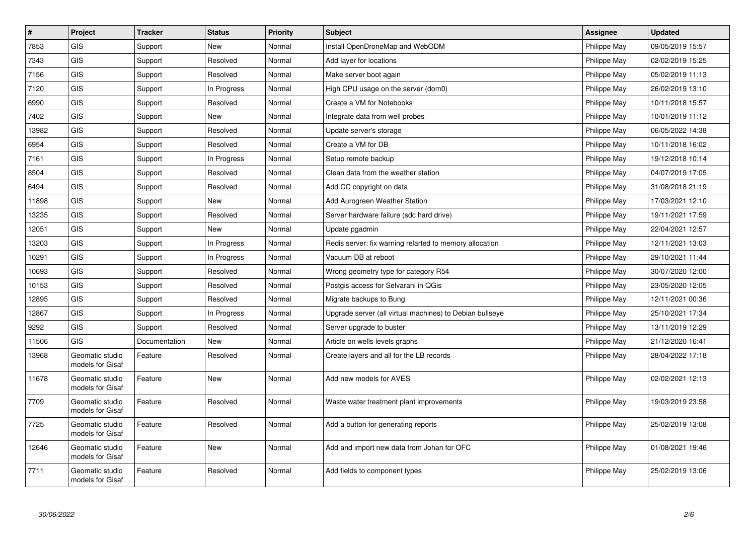| $\vert$ # | Project                             | <b>Tracker</b> | <b>Status</b> | Priority | <b>Subject</b>                                           | Assignee     | <b>Updated</b>   |
|-----------|-------------------------------------|----------------|---------------|----------|----------------------------------------------------------|--------------|------------------|
| 7853      | <b>GIS</b>                          | Support        | <b>New</b>    | Normal   | Install OpenDroneMap and WebODM                          | Philippe May | 09/05/2019 15:57 |
| 7343      | GIS                                 | Support        | Resolved      | Normal   | Add layer for locations                                  | Philippe May | 02/02/2019 15:25 |
| 7156      | <b>GIS</b>                          | Support        | Resolved      | Normal   | Make server boot again                                   | Philippe May | 05/02/2019 11:13 |
| 7120      | GIS                                 | Support        | In Progress   | Normal   | High CPU usage on the server (dom0)                      | Philippe May | 26/02/2019 13:10 |
| 6990      | GIS                                 | Support        | Resolved      | Normal   | Create a VM for Notebooks                                | Philippe May | 10/11/2018 15:57 |
| 7402      | GIS                                 | Support        | <b>New</b>    | Normal   | Integrate data from well probes                          | Philippe May | 10/01/2019 11:12 |
| 13982     | GIS                                 | Support        | Resolved      | Normal   | Update server's storage                                  | Philippe May | 06/05/2022 14:38 |
| 6954      | GIS                                 | Support        | Resolved      | Normal   | Create a VM for DB                                       | Philippe May | 10/11/2018 16:02 |
| 7161      | <b>GIS</b>                          | Support        | In Progress   | Normal   | Setup remote backup                                      | Philippe May | 19/12/2018 10:14 |
| 8504      | <b>GIS</b>                          | Support        | Resolved      | Normal   | Clean data from the weather station                      | Philippe May | 04/07/2019 17:05 |
| 6494      | GIS                                 | Support        | Resolved      | Normal   | Add CC copyright on data                                 | Philippe May | 31/08/2018 21:19 |
| 11898     | <b>GIS</b>                          | Support        | <b>New</b>    | Normal   | Add Aurogreen Weather Station                            | Philippe May | 17/03/2021 12:10 |
| 13235     | GIS                                 | Support        | Resolved      | Normal   | Server hardware failure (sdc hard drive)                 | Philippe May | 19/11/2021 17:59 |
| 12051     | <b>GIS</b>                          | Support        | <b>New</b>    | Normal   | Update pgadmin                                           | Philippe May | 22/04/2021 12:57 |
| 13203     | GIS                                 | Support        | In Progress   | Normal   | Redis server: fix warning relarted to memory allocation  | Philippe May | 12/11/2021 13:03 |
| 10291     | GIS                                 | Support        | In Progress   | Normal   | Vacuum DB at reboot                                      | Philippe May | 29/10/2021 11:44 |
| 10693     | GIS                                 | Support        | Resolved      | Normal   | Wrong geometry type for category R54                     | Philippe May | 30/07/2020 12:00 |
| 10153     | GIS                                 | Support        | Resolved      | Normal   | Postgis access for Selvarani in QGis                     | Philippe May | 23/05/2020 12:05 |
| 12895     | GIS                                 | Support        | Resolved      | Normal   | Migrate backups to Bung                                  | Philippe May | 12/11/2021 00:36 |
| 12867     | <b>GIS</b>                          | Support        | In Progress   | Normal   | Upgrade server (all virtual machines) to Debian bullseye | Philippe May | 25/10/2021 17:34 |
| 9292      | <b>GIS</b>                          | Support        | Resolved      | Normal   | Server upgrade to buster                                 | Philippe May | 13/11/2019 12:29 |
| 11506     | <b>GIS</b>                          | Documentation  | <b>New</b>    | Normal   | Article on wells levels graphs                           | Philippe May | 21/12/2020 16:41 |
| 13968     | Geomatic studio<br>models for Gisaf | Feature        | Resolved      | Normal   | Create layers and all for the LB records                 | Philippe May | 28/04/2022 17:18 |
| 11678     | Geomatic studio<br>models for Gisaf | Feature        | New           | Normal   | Add new models for AVES                                  | Philippe May | 02/02/2021 12:13 |
| 7709      | Geomatic studio<br>models for Gisaf | Feature        | Resolved      | Normal   | Waste water treatment plant improvements                 | Philippe May | 19/03/2019 23:58 |
| 7725      | Geomatic studio<br>models for Gisaf | Feature        | Resolved      | Normal   | Add a button for generating reports                      | Philippe May | 25/02/2019 13:08 |
| 12646     | Geomatic studio<br>models for Gisaf | Feature        | <b>New</b>    | Normal   | Add and import new data from Johan for OFC               | Philippe May | 01/08/2021 19:46 |
| 7711      | Geomatic studio<br>models for Gisaf | Feature        | Resolved      | Normal   | Add fields to component types                            | Philippe May | 25/02/2019 13:06 |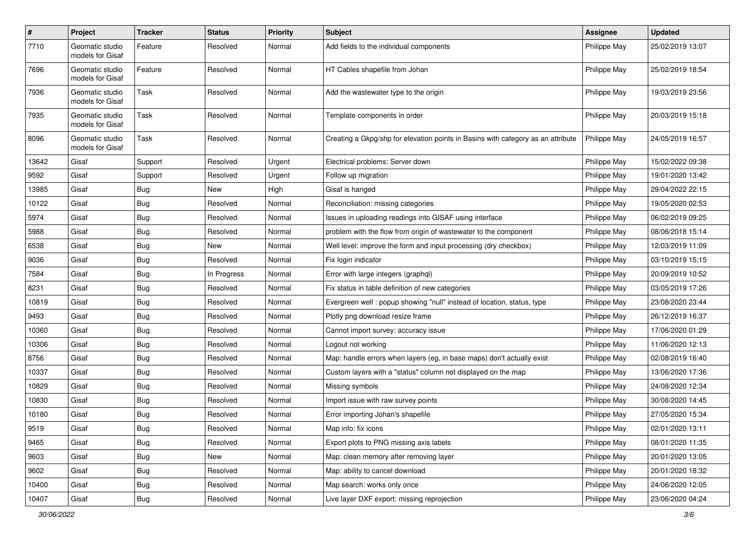| $\pmb{\#}$ | Project                             | <b>Tracker</b> | <b>Status</b> | <b>Priority</b> | <b>Subject</b>                                                                   | <b>Assignee</b> | <b>Updated</b>   |
|------------|-------------------------------------|----------------|---------------|-----------------|----------------------------------------------------------------------------------|-----------------|------------------|
| 7710       | Geomatic studio<br>models for Gisaf | Feature        | Resolved      | Normal          | Add fields to the individual components                                          | Philippe May    | 25/02/2019 13:07 |
| 7696       | Geomatic studio<br>models for Gisaf | Feature        | Resolved      | Normal          | HT Cables shapefile from Johan                                                   | Philippe May    | 25/02/2019 18:54 |
| 7936       | Geomatic studio<br>models for Gisaf | Task           | Resolved      | Normal          | Add the wastewater type to the origin                                            | Philippe May    | 19/03/2019 23:56 |
| 7935       | Geomatic studio<br>models for Gisaf | Task           | Resolved      | Normal          | Template components in order                                                     | Philippe May    | 20/03/2019 15:18 |
| 8096       | Geomatic studio<br>models for Gisaf | Task           | Resolved      | Normal          | Creating a Gkpg/shp for elevation points in Basins with category as an attribute | Philippe May    | 24/05/2019 16:57 |
| 13642      | Gisaf                               | Support        | Resolved      | Urgent          | Electrical problems: Server down                                                 | Philippe May    | 15/02/2022 09:38 |
| 9592       | Gisaf                               | Support        | Resolved      | Urgent          | Follow up migration                                                              | Philippe May    | 19/01/2020 13:42 |
| 13985      | Gisaf                               | <b>Bug</b>     | New           | High            | Gisaf is hanged                                                                  | Philippe May    | 29/04/2022 22:15 |
| 10122      | Gisaf                               | Bug            | Resolved      | Normal          | Reconciliation: missing categories                                               | Philippe May    | 19/05/2020 02:53 |
| 5974       | Gisaf                               | <b>Bug</b>     | Resolved      | Normal          | Issues in uploading readings into GISAF using interface                          | Philippe May    | 06/02/2019 09:25 |
| 5988       | Gisaf                               | Bug            | Resolved      | Normal          | problem with the flow from origin of wastewater to the component                 | Philippe May    | 08/06/2018 15:14 |
| 6538       | Gisaf                               | Bug            | New           | Normal          | Well level: improve the form and input processing (dry checkbox)                 | Philippe May    | 12/03/2019 11:09 |
| 9036       | Gisaf                               | Bug            | Resolved      | Normal          | Fix login indicator                                                              | Philippe May    | 03/10/2019 15:15 |
| 7584       | Gisaf                               | Bug            | In Progress   | Normal          | Error with large integers (graphql)                                              | Philippe May    | 20/09/2019 10:52 |
| 8231       | Gisaf                               | <b>Bug</b>     | Resolved      | Normal          | Fix status in table definition of new categories                                 | Philippe May    | 03/05/2019 17:26 |
| 10819      | Gisaf                               | <b>Bug</b>     | Resolved      | Normal          | Evergreen well : popup showing "null" instead of location, status, type          | Philippe May    | 23/08/2020 23:44 |
| 9493       | Gisaf                               | Bug            | Resolved      | Normal          | Plotly png download resize frame                                                 | Philippe May    | 26/12/2019 16:37 |
| 10360      | Gisaf                               | <b>Bug</b>     | Resolved      | Normal          | Cannot import survey: accuracy issue                                             | Philippe May    | 17/06/2020 01:29 |
| 10306      | Gisaf                               | Bug            | Resolved      | Normal          | Logout not working                                                               | Philippe May    | 11/06/2020 12:13 |
| 8756       | Gisaf                               | <b>Bug</b>     | Resolved      | Normal          | Map: handle errors when layers (eg, in base maps) don't actually exist           | Philippe May    | 02/08/2019 16:40 |
| 10337      | Gisaf                               | Bug            | Resolved      | Normal          | Custom layers with a "status" column not displayed on the map                    | Philippe May    | 13/06/2020 17:36 |
| 10829      | Gisaf                               | Bug            | Resolved      | Normal          | Missing symbols                                                                  | Philippe May    | 24/08/2020 12:34 |
| 10830      | Gisaf                               | <b>Bug</b>     | Resolved      | Normal          | Import issue with raw survey points                                              | Philippe May    | 30/08/2020 14:45 |
| 10180      | Gisaf                               | Bug            | Resolved      | Normal          | Error importing Johan's shapefile                                                | Philippe May    | 27/05/2020 15:34 |
| 9519       | Gisaf                               | <b>Bug</b>     | Resolved      | Normal          | Map info: fix icons                                                              | Philippe May    | 02/01/2020 13:11 |
| 9465       | Gisaf                               | Bug            | Resolved      | Normal          | Export plots to PNG missing axis labels                                          | Philippe May    | 08/01/2020 11:35 |
| 9603       | Gisaf                               | <b>Bug</b>     | New           | Normal          | Map: clean memory after removing layer                                           | Philippe May    | 20/01/2020 13:05 |
| 9602       | Gisaf                               | <b>Bug</b>     | Resolved      | Normal          | Map: ability to cancel download                                                  | Philippe May    | 20/01/2020 18:32 |
| 10400      | Gisaf                               | <b>Bug</b>     | Resolved      | Normal          | Map search: works only once                                                      | Philippe May    | 24/06/2020 12:05 |
| 10407      | Gisaf                               | Bug            | Resolved      | Normal          | Live layer DXF export: missing reprojection                                      | Philippe May    | 23/06/2020 04:24 |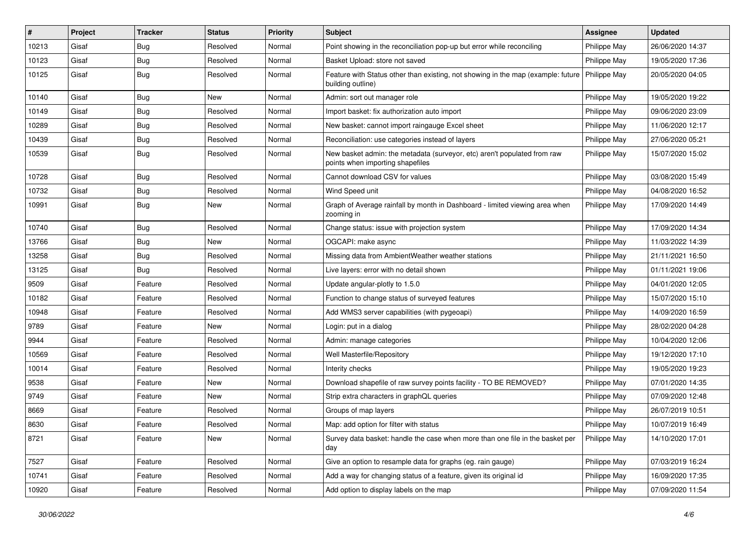| #     | Project | <b>Tracker</b> | <b>Status</b> | Priority | <b>Subject</b>                                                                                               | <b>Assignee</b> | <b>Updated</b>   |
|-------|---------|----------------|---------------|----------|--------------------------------------------------------------------------------------------------------------|-----------------|------------------|
| 10213 | Gisaf   | <b>Bug</b>     | Resolved      | Normal   | Point showing in the reconciliation pop-up but error while reconciling                                       | Philippe May    | 26/06/2020 14:37 |
| 10123 | Gisaf   | <b>Bug</b>     | Resolved      | Normal   | Basket Upload: store not saved                                                                               | Philippe May    | 19/05/2020 17:36 |
| 10125 | Gisaf   | Bug            | Resolved      | Normal   | Feature with Status other than existing, not showing in the map (example: future<br>building outline)        | Philippe May    | 20/05/2020 04:05 |
| 10140 | Gisaf   | Bug            | <b>New</b>    | Normal   | Admin: sort out manager role                                                                                 | Philippe May    | 19/05/2020 19:22 |
| 10149 | Gisaf   | Bug            | Resolved      | Normal   | Import basket: fix authorization auto import                                                                 | Philippe May    | 09/06/2020 23:09 |
| 10289 | Gisaf   | Bug            | Resolved      | Normal   | New basket: cannot import raingauge Excel sheet                                                              | Philippe May    | 11/06/2020 12:17 |
| 10439 | Gisaf   | <b>Bug</b>     | Resolved      | Normal   | Reconciliation: use categories instead of layers                                                             | Philippe May    | 27/06/2020 05:21 |
| 10539 | Gisaf   | <b>Bug</b>     | Resolved      | Normal   | New basket admin: the metadata (surveyor, etc) aren't populated from raw<br>points when importing shapefiles | Philippe May    | 15/07/2020 15:02 |
| 10728 | Gisaf   | Bug            | Resolved      | Normal   | Cannot download CSV for values                                                                               | Philippe May    | 03/08/2020 15:49 |
| 10732 | Gisaf   | Bug            | Resolved      | Normal   | Wind Speed unit                                                                                              | Philippe May    | 04/08/2020 16:52 |
| 10991 | Gisaf   | Bug            | <b>New</b>    | Normal   | Graph of Average rainfall by month in Dashboard - limited viewing area when<br>zooming in                    | Philippe May    | 17/09/2020 14:49 |
| 10740 | Gisaf   | <b>Bug</b>     | Resolved      | Normal   | Change status: issue with projection system                                                                  | Philippe May    | 17/09/2020 14:34 |
| 13766 | Gisaf   | <b>Bug</b>     | New           | Normal   | OGCAPI: make async                                                                                           | Philippe May    | 11/03/2022 14:39 |
| 13258 | Gisaf   | <b>Bug</b>     | Resolved      | Normal   | Missing data from AmbientWeather weather stations                                                            | Philippe May    | 21/11/2021 16:50 |
| 13125 | Gisaf   | Bug            | Resolved      | Normal   | Live layers: error with no detail shown                                                                      | Philippe May    | 01/11/2021 19:06 |
| 9509  | Gisaf   | Feature        | Resolved      | Normal   | Update angular-plotly to 1.5.0                                                                               | Philippe May    | 04/01/2020 12:05 |
| 10182 | Gisaf   | Feature        | Resolved      | Normal   | Function to change status of surveyed features                                                               | Philippe May    | 15/07/2020 15:10 |
| 10948 | Gisaf   | Feature        | Resolved      | Normal   | Add WMS3 server capabilities (with pygeoapi)                                                                 | Philippe May    | 14/09/2020 16:59 |
| 9789  | Gisaf   | Feature        | New           | Normal   | Login: put in a dialog                                                                                       | Philippe May    | 28/02/2020 04:28 |
| 9944  | Gisaf   | Feature        | Resolved      | Normal   | Admin: manage categories                                                                                     | Philippe May    | 10/04/2020 12:06 |
| 10569 | Gisaf   | Feature        | Resolved      | Normal   | Well Masterfile/Repository                                                                                   | Philippe May    | 19/12/2020 17:10 |
| 10014 | Gisaf   | Feature        | Resolved      | Normal   | Interity checks                                                                                              | Philippe May    | 19/05/2020 19:23 |
| 9538  | Gisaf   | Feature        | New           | Normal   | Download shapefile of raw survey points facility - TO BE REMOVED?                                            | Philippe May    | 07/01/2020 14:35 |
| 9749  | Gisaf   | Feature        | New           | Normal   | Strip extra characters in graphQL queries                                                                    | Philippe May    | 07/09/2020 12:48 |
| 8669  | Gisaf   | Feature        | Resolved      | Normal   | Groups of map layers                                                                                         | Philippe May    | 26/07/2019 10:51 |
| 8630  | Gisaf   | Feature        | Resolved      | Normal   | Map: add option for filter with status                                                                       | Philippe May    | 10/07/2019 16:49 |
| 8721  | Gisaf   | Feature        | New           | Normal   | Survey data basket: handle the case when more than one file in the basket per<br>day                         | Philippe May    | 14/10/2020 17:01 |
| 7527  | Gisaf   | Feature        | Resolved      | Normal   | Give an option to resample data for graphs (eg. rain gauge)                                                  | Philippe May    | 07/03/2019 16:24 |
| 10741 | Gisaf   | Feature        | Resolved      | Normal   | Add a way for changing status of a feature, given its original id                                            | Philippe May    | 16/09/2020 17:35 |
| 10920 | Gisaf   | Feature        | Resolved      | Normal   | Add option to display labels on the map                                                                      | Philippe May    | 07/09/2020 11:54 |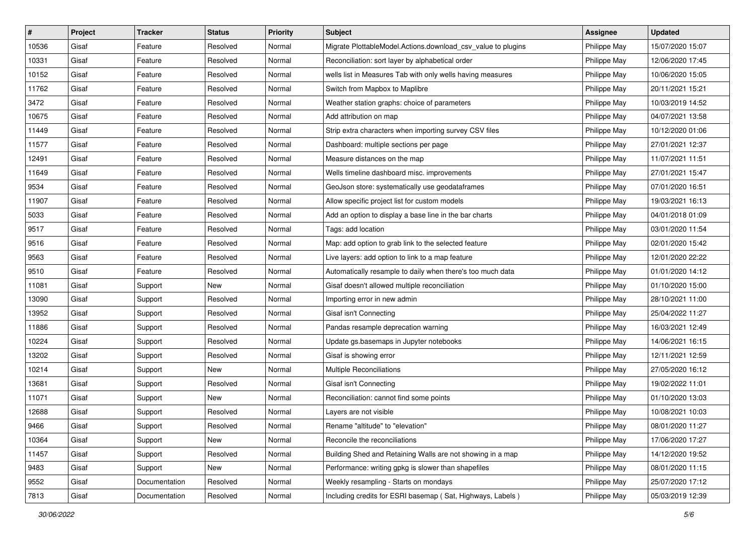| $\vert$ # | Project | <b>Tracker</b> | <b>Status</b> | <b>Priority</b> | Subject                                                      | <b>Assignee</b> | <b>Updated</b>   |
|-----------|---------|----------------|---------------|-----------------|--------------------------------------------------------------|-----------------|------------------|
| 10536     | Gisaf   | Feature        | Resolved      | Normal          | Migrate PlottableModel.Actions.download_csv_value to plugins | Philippe May    | 15/07/2020 15:07 |
| 10331     | Gisaf   | Feature        | Resolved      | Normal          | Reconciliation: sort layer by alphabetical order             | Philippe May    | 12/06/2020 17:45 |
| 10152     | Gisaf   | Feature        | Resolved      | Normal          | wells list in Measures Tab with only wells having measures   | Philippe May    | 10/06/2020 15:05 |
| 11762     | Gisaf   | Feature        | Resolved      | Normal          | Switch from Mapbox to Maplibre                               | Philippe May    | 20/11/2021 15:21 |
| 3472      | Gisaf   | Feature        | Resolved      | Normal          | Weather station graphs: choice of parameters                 | Philippe May    | 10/03/2019 14:52 |
| 10675     | Gisaf   | Feature        | Resolved      | Normal          | Add attribution on map                                       | Philippe May    | 04/07/2021 13:58 |
| 11449     | Gisaf   | Feature        | Resolved      | Normal          | Strip extra characters when importing survey CSV files       | Philippe May    | 10/12/2020 01:06 |
| 11577     | Gisaf   | Feature        | Resolved      | Normal          | Dashboard: multiple sections per page                        | Philippe May    | 27/01/2021 12:37 |
| 12491     | Gisaf   | Feature        | Resolved      | Normal          | Measure distances on the map                                 | Philippe May    | 11/07/2021 11:51 |
| 11649     | Gisaf   | Feature        | Resolved      | Normal          | Wells timeline dashboard misc. improvements                  | Philippe May    | 27/01/2021 15:47 |
| 9534      | Gisaf   | Feature        | Resolved      | Normal          | GeoJson store: systematically use geodataframes              | Philippe May    | 07/01/2020 16:51 |
| 11907     | Gisaf   | Feature        | Resolved      | Normal          | Allow specific project list for custom models                | Philippe May    | 19/03/2021 16:13 |
| 5033      | Gisaf   | Feature        | Resolved      | Normal          | Add an option to display a base line in the bar charts       | Philippe May    | 04/01/2018 01:09 |
| 9517      | Gisaf   | Feature        | Resolved      | Normal          | Tags: add location                                           | Philippe May    | 03/01/2020 11:54 |
| 9516      | Gisaf   | Feature        | Resolved      | Normal          | Map: add option to grab link to the selected feature         | Philippe May    | 02/01/2020 15:42 |
| 9563      | Gisaf   | Feature        | Resolved      | Normal          | Live layers: add option to link to a map feature             | Philippe May    | 12/01/2020 22:22 |
| 9510      | Gisaf   | Feature        | Resolved      | Normal          | Automatically resample to daily when there's too much data   | Philippe May    | 01/01/2020 14:12 |
| 11081     | Gisaf   | Support        | <b>New</b>    | Normal          | Gisaf doesn't allowed multiple reconciliation                | Philippe May    | 01/10/2020 15:00 |
| 13090     | Gisaf   | Support        | Resolved      | Normal          | Importing error in new admin                                 | Philippe May    | 28/10/2021 11:00 |
| 13952     | Gisaf   | Support        | Resolved      | Normal          | Gisaf isn't Connecting                                       | Philippe May    | 25/04/2022 11:27 |
| 11886     | Gisaf   | Support        | Resolved      | Normal          | Pandas resample deprecation warning                          | Philippe May    | 16/03/2021 12:49 |
| 10224     | Gisaf   | Support        | Resolved      | Normal          | Update gs.basemaps in Jupyter notebooks                      | Philippe May    | 14/06/2021 16:15 |
| 13202     | Gisaf   | Support        | Resolved      | Normal          | Gisaf is showing error                                       | Philippe May    | 12/11/2021 12:59 |
| 10214     | Gisaf   | Support        | New           | Normal          | <b>Multiple Reconciliations</b>                              | Philippe May    | 27/05/2020 16:12 |
| 13681     | Gisaf   | Support        | Resolved      | Normal          | Gisaf isn't Connecting                                       | Philippe May    | 19/02/2022 11:01 |
| 11071     | Gisaf   | Support        | <b>New</b>    | Normal          | Reconciliation: cannot find some points                      | Philippe May    | 01/10/2020 13:03 |
| 12688     | Gisaf   | Support        | Resolved      | Normal          | Layers are not visible                                       | Philippe May    | 10/08/2021 10:03 |
| 9466      | Gisaf   | Support        | Resolved      | Normal          | Rename "altitude" to "elevation"                             | Philippe May    | 08/01/2020 11:27 |
| 10364     | Gisaf   | Support        | New           | Normal          | Reconcile the reconciliations                                | Philippe May    | 17/06/2020 17:27 |
| 11457     | Gisaf   | Support        | Resolved      | Normal          | Building Shed and Retaining Walls are not showing in a map   | Philippe May    | 14/12/2020 19:52 |
| 9483      | Gisaf   | Support        | New           | Normal          | Performance: writing gpkg is slower than shapefiles          | Philippe May    | 08/01/2020 11:15 |
| 9552      | Gisaf   | Documentation  | Resolved      | Normal          | Weekly resampling - Starts on mondays                        | Philippe May    | 25/07/2020 17:12 |
| 7813      | Gisaf   | Documentation  | Resolved      | Normal          | Including credits for ESRI basemap (Sat, Highways, Labels)   | Philippe May    | 05/03/2019 12:39 |